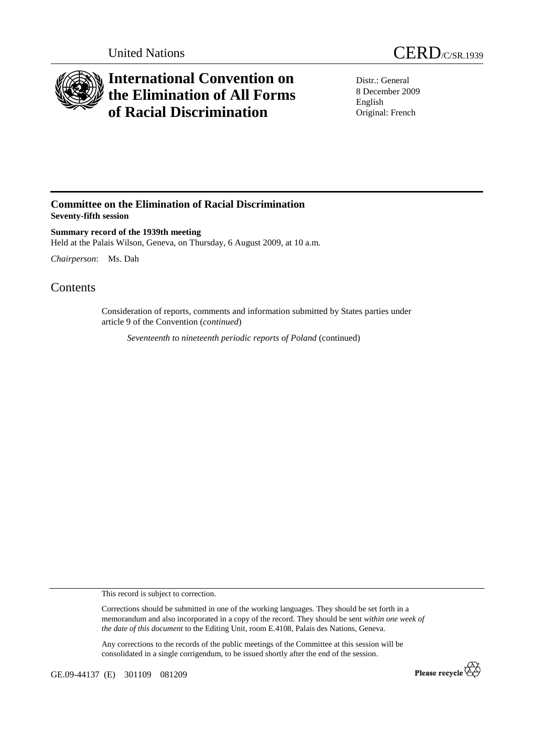

## **International Convention on the Elimination of All Forms of Racial Discrimination**

Distr.: General 8 December 2009 English Original: French

## **Committee on the Elimination of Racial Discrimination Seventy-fifth session**

**Summary record of the 1939th meeting**  Held at the Palais Wilson, Geneva, on Thursday, 6 August 2009, at 10 a.m.

*Chairperson*: Ms. Dah

## **Contents**

Consideration of reports, comments and information submitted by States parties under article 9 of the Convention (*continued*)

*Seventeenth to nineteenth periodic reports of Poland* (continued)

This record is subject to correction.

Corrections should be submitted in one of the working languages. They should be set forth in a memorandum and also incorporated in a copy of the record. They should be sent *within one week of the date of this document* to the Editing Unit, room E.4108, Palais des Nations, Geneva.

Any corrections to the records of the public meetings of the Committee at this session will be consolidated in a single corrigendum, to be issued shortly after the end of the session.

GE.09-44137 (E) 301109 081209

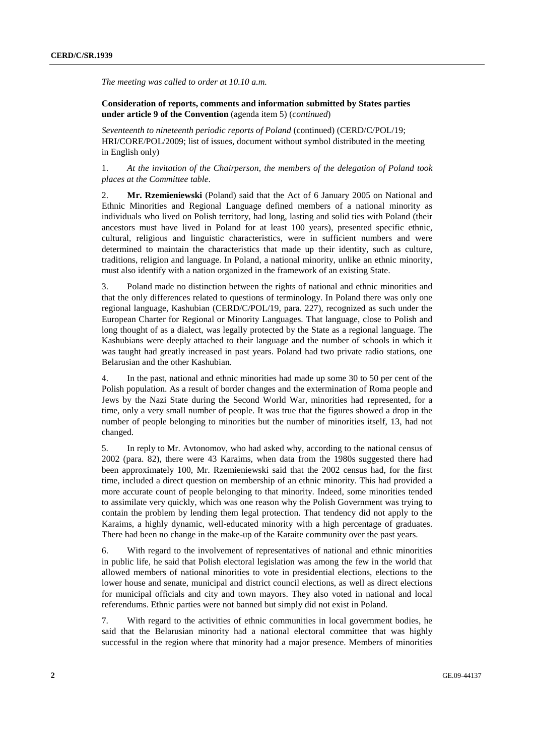*The meeting was called to order at 10.10 a.m.* 

## **Consideration of reports, comments and information submitted by States parties under article 9 of the Convention** (agenda item 5) (*continued*)

*Seventeenth to nineteenth periodic reports of Poland* (continued) (CERD/C/POL/19; HRI/CORE/POL/2009; list of issues, document without symbol distributed in the meeting in English only)

1. *At the invitation of the Chairperson, the members of the delegation of Poland took places at the Committee table*.

2. **Mr. Rzemieniewski** (Poland) said that the Act of 6 January 2005 on National and Ethnic Minorities and Regional Language defined members of a national minority as individuals who lived on Polish territory, had long, lasting and solid ties with Poland (their ancestors must have lived in Poland for at least 100 years), presented specific ethnic, cultural, religious and linguistic characteristics, were in sufficient numbers and were determined to maintain the characteristics that made up their identity, such as culture, traditions, religion and language. In Poland, a national minority, unlike an ethnic minority, must also identify with a nation organized in the framework of an existing State.

3. Poland made no distinction between the rights of national and ethnic minorities and that the only differences related to questions of terminology. In Poland there was only one regional language, Kashubian (CERD/C/POL/19, para. 227), recognized as such under the European Charter for Regional or Minority Languages. That language, close to Polish and long thought of as a dialect, was legally protected by the State as a regional language. The Kashubians were deeply attached to their language and the number of schools in which it was taught had greatly increased in past years. Poland had two private radio stations, one Belarusian and the other Kashubian.

4. In the past, national and ethnic minorities had made up some 30 to 50 per cent of the Polish population. As a result of border changes and the extermination of Roma people and Jews by the Nazi State during the Second World War, minorities had represented, for a time, only a very small number of people. It was true that the figures showed a drop in the number of people belonging to minorities but the number of minorities itself, 13, had not changed.

5. In reply to Mr. Avtonomov, who had asked why, according to the national census of 2002 (para. 82), there were 43 Karaims, when data from the 1980s suggested there had been approximately 100, Mr. Rzemieniewski said that the 2002 census had, for the first time, included a direct question on membership of an ethnic minority. This had provided a more accurate count of people belonging to that minority. Indeed, some minorities tended to assimilate very quickly, which was one reason why the Polish Government was trying to contain the problem by lending them legal protection. That tendency did not apply to the Karaims, a highly dynamic, well-educated minority with a high percentage of graduates. There had been no change in the make-up of the Karaite community over the past years.

6. With regard to the involvement of representatives of national and ethnic minorities in public life, he said that Polish electoral legislation was among the few in the world that allowed members of national minorities to vote in presidential elections, elections to the lower house and senate, municipal and district council elections, as well as direct elections for municipal officials and city and town mayors. They also voted in national and local referendums. Ethnic parties were not banned but simply did not exist in Poland.

7. With regard to the activities of ethnic communities in local government bodies, he said that the Belarusian minority had a national electoral committee that was highly successful in the region where that minority had a major presence. Members of minorities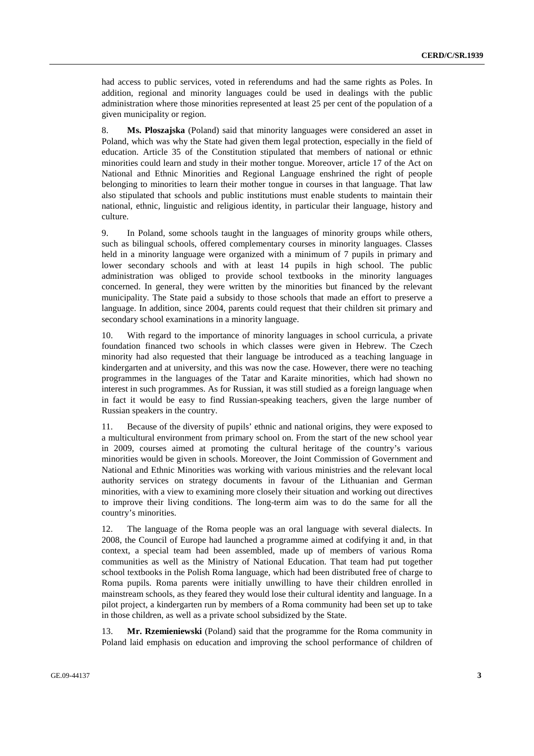had access to public services, voted in referendums and had the same rights as Poles. In addition, regional and minority languages could be used in dealings with the public administration where those minorities represented at least 25 per cent of the population of a given municipality or region.

8. **Ms. Ploszajska** (Poland) said that minority languages were considered an asset in Poland, which was why the State had given them legal protection, especially in the field of education. Article 35 of the Constitution stipulated that members of national or ethnic minorities could learn and study in their mother tongue. Moreover, article 17 of the Act on National and Ethnic Minorities and Regional Language enshrined the right of people belonging to minorities to learn their mother tongue in courses in that language. That law also stipulated that schools and public institutions must enable students to maintain their national, ethnic, linguistic and religious identity, in particular their language, history and culture.

9. In Poland, some schools taught in the languages of minority groups while others, such as bilingual schools, offered complementary courses in minority languages. Classes held in a minority language were organized with a minimum of 7 pupils in primary and lower secondary schools and with at least 14 pupils in high school. The public administration was obliged to provide school textbooks in the minority languages concerned. In general, they were written by the minorities but financed by the relevant municipality. The State paid a subsidy to those schools that made an effort to preserve a language. In addition, since 2004, parents could request that their children sit primary and secondary school examinations in a minority language.

10. With regard to the importance of minority languages in school curricula, a private foundation financed two schools in which classes were given in Hebrew. The Czech minority had also requested that their language be introduced as a teaching language in kindergarten and at university, and this was now the case. However, there were no teaching programmes in the languages of the Tatar and Karaite minorities, which had shown no interest in such programmes. As for Russian, it was still studied as a foreign language when in fact it would be easy to find Russian-speaking teachers, given the large number of Russian speakers in the country.

11. Because of the diversity of pupils' ethnic and national origins, they were exposed to a multicultural environment from primary school on. From the start of the new school year in 2009, courses aimed at promoting the cultural heritage of the country's various minorities would be given in schools. Moreover, the Joint Commission of Government and National and Ethnic Minorities was working with various ministries and the relevant local authority services on strategy documents in favour of the Lithuanian and German minorities, with a view to examining more closely their situation and working out directives to improve their living conditions. The long-term aim was to do the same for all the country's minorities.

12. The language of the Roma people was an oral language with several dialects. In 2008, the Council of Europe had launched a programme aimed at codifying it and, in that context, a special team had been assembled, made up of members of various Roma communities as well as the Ministry of National Education. That team had put together school textbooks in the Polish Roma language, which had been distributed free of charge to Roma pupils. Roma parents were initially unwilling to have their children enrolled in mainstream schools, as they feared they would lose their cultural identity and language. In a pilot project, a kindergarten run by members of a Roma community had been set up to take in those children, as well as a private school subsidized by the State.

13. **Mr. Rzemieniewski** (Poland) said that the programme for the Roma community in Poland laid emphasis on education and improving the school performance of children of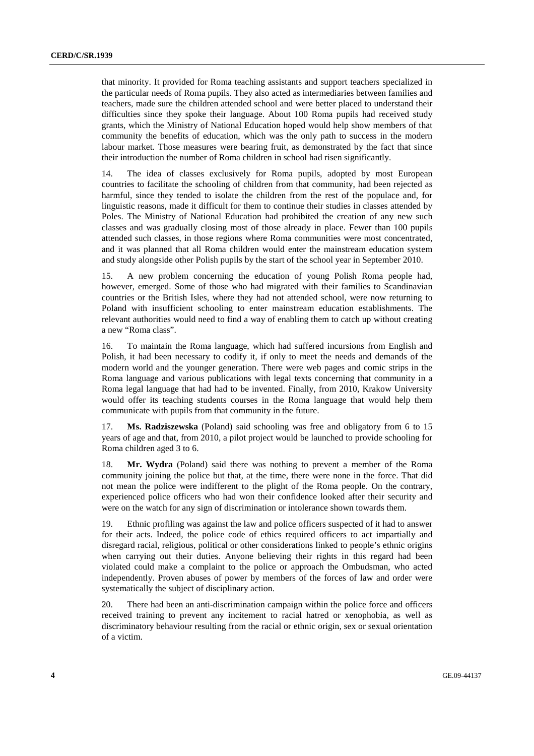that minority. It provided for Roma teaching assistants and support teachers specialized in the particular needs of Roma pupils. They also acted as intermediaries between families and teachers, made sure the children attended school and were better placed to understand their difficulties since they spoke their language. About 100 Roma pupils had received study grants, which the Ministry of National Education hoped would help show members of that community the benefits of education, which was the only path to success in the modern labour market. Those measures were bearing fruit, as demonstrated by the fact that since their introduction the number of Roma children in school had risen significantly.

14. The idea of classes exclusively for Roma pupils, adopted by most European countries to facilitate the schooling of children from that community, had been rejected as harmful, since they tended to isolate the children from the rest of the populace and, for linguistic reasons, made it difficult for them to continue their studies in classes attended by Poles. The Ministry of National Education had prohibited the creation of any new such classes and was gradually closing most of those already in place. Fewer than 100 pupils attended such classes, in those regions where Roma communities were most concentrated, and it was planned that all Roma children would enter the mainstream education system and study alongside other Polish pupils by the start of the school year in September 2010.

15. A new problem concerning the education of young Polish Roma people had, however, emerged. Some of those who had migrated with their families to Scandinavian countries or the British Isles, where they had not attended school, were now returning to Poland with insufficient schooling to enter mainstream education establishments. The relevant authorities would need to find a way of enabling them to catch up without creating a new "Roma class".

16. To maintain the Roma language, which had suffered incursions from English and Polish, it had been necessary to codify it, if only to meet the needs and demands of the modern world and the younger generation. There were web pages and comic strips in the Roma language and various publications with legal texts concerning that community in a Roma legal language that had had to be invented. Finally, from 2010, Krakow University would offer its teaching students courses in the Roma language that would help them communicate with pupils from that community in the future.

17. **Ms. Radziszewska** (Poland) said schooling was free and obligatory from 6 to 15 years of age and that, from 2010, a pilot project would be launched to provide schooling for Roma children aged 3 to 6.

18. **Mr. Wydra** (Poland) said there was nothing to prevent a member of the Roma community joining the police but that, at the time, there were none in the force. That did not mean the police were indifferent to the plight of the Roma people. On the contrary, experienced police officers who had won their confidence looked after their security and were on the watch for any sign of discrimination or intolerance shown towards them.

19. Ethnic profiling was against the law and police officers suspected of it had to answer for their acts. Indeed, the police code of ethics required officers to act impartially and disregard racial, religious, political or other considerations linked to people's ethnic origins when carrying out their duties. Anyone believing their rights in this regard had been violated could make a complaint to the police or approach the Ombudsman, who acted independently. Proven abuses of power by members of the forces of law and order were systematically the subject of disciplinary action.

20. There had been an anti-discrimination campaign within the police force and officers received training to prevent any incitement to racial hatred or xenophobia, as well as discriminatory behaviour resulting from the racial or ethnic origin, sex or sexual orientation of a victim.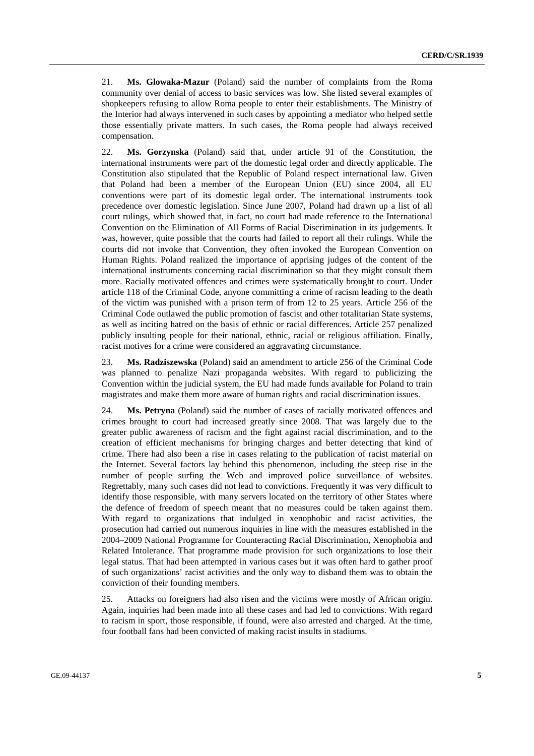21. **Ms. Glowaka-Mazur** (Poland) said the number of complaints from the Roma community over denial of access to basic services was low. She listed several examples of shopkeepers refusing to allow Roma people to enter their establishments. The Ministry of the Interior had always intervened in such cases by appointing a mediator who helped settle those essentially private matters. In such cases, the Roma people had always received compensation.

22. **Ms. Gorzynska** (Poland) said that, under article 91 of the Constitution, the international instruments were part of the domestic legal order and directly applicable. The Constitution also stipulated that the Republic of Poland respect international law. Given that Poland had been a member of the European Union (EU) since 2004, all EU conventions were part of its domestic legal order. The international instruments took precedence over domestic legislation. Since June 2007, Poland had drawn up a list of all court rulings, which showed that, in fact, no court had made reference to the International Convention on the Elimination of All Forms of Racial Discrimination in its judgements. It was, however, quite possible that the courts had failed to report all their rulings. While the courts did not invoke that Convention, they often invoked the European Convention on Human Rights. Poland realized the importance of apprising judges of the content of the international instruments concerning racial discrimination so that they might consult them more. Racially motivated offences and crimes were systematically brought to court. Under article 118 of the Criminal Code, anyone committing a crime of racism leading to the death of the victim was punished with a prison term of from 12 to 25 years. Article 256 of the Criminal Code outlawed the public promotion of fascist and other totalitarian State systems, as well as inciting hatred on the basis of ethnic or racial differences. Article 257 penalized publicly insulting people for their national, ethnic, racial or religious affiliation. Finally, racist motives for a crime were considered an aggravating circumstance.

23. **Ms. Radziszewska** (Poland) said an amendment to article 256 of the Criminal Code was planned to penalize Nazi propaganda websites. With regard to publicizing the Convention within the judicial system, the EU had made funds available for Poland to train magistrates and make them more aware of human rights and racial discrimination issues.

24. **Ms. Petryna** (Poland) said the number of cases of racially motivated offences and crimes brought to court had increased greatly since 2008. That was largely due to the greater public awareness of racism and the fight against racial discrimination, and to the creation of efficient mechanisms for bringing charges and better detecting that kind of crime. There had also been a rise in cases relating to the publication of racist material on the Internet. Several factors lay behind this phenomenon, including the steep rise in the number of people surfing the Web and improved police surveillance of websites. Regrettably, many such cases did not lead to convictions. Frequently it was very difficult to identify those responsible, with many servers located on the territory of other States where the defence of freedom of speech meant that no measures could be taken against them. With regard to organizations that indulged in xenophobic and racist activities, the prosecution had carried out numerous inquiries in line with the measures established in the 2004–2009 National Programme for Counteracting Racial Discrimination, Xenophobia and Related Intolerance. That programme made provision for such organizations to lose their legal status. That had been attempted in various cases but it was often hard to gather proof of such organizations' racist activities and the only way to disband them was to obtain the conviction of their founding members.

25. Attacks on foreigners had also risen and the victims were mostly of African origin. Again, inquiries had been made into all these cases and had led to convictions. With regard to racism in sport, those responsible, if found, were also arrested and charged. At the time, four football fans had been convicted of making racist insults in stadiums.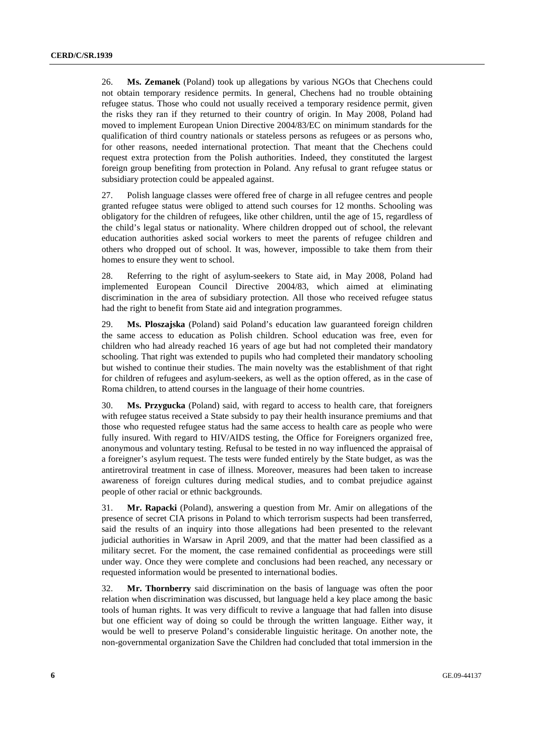26. **Ms. Zemanek** (Poland) took up allegations by various NGOs that Chechens could not obtain temporary residence permits. In general, Chechens had no trouble obtaining refugee status. Those who could not usually received a temporary residence permit, given the risks they ran if they returned to their country of origin. In May 2008, Poland had moved to implement European Union Directive 2004/83/EC on minimum standards for the qualification of third country nationals or stateless persons as refugees or as persons who, for other reasons, needed international protection. That meant that the Chechens could request extra protection from the Polish authorities. Indeed, they constituted the largest foreign group benefiting from protection in Poland. Any refusal to grant refugee status or subsidiary protection could be appealed against.

27. Polish language classes were offered free of charge in all refugee centres and people granted refugee status were obliged to attend such courses for 12 months. Schooling was obligatory for the children of refugees, like other children, until the age of 15, regardless of the child's legal status or nationality. Where children dropped out of school, the relevant education authorities asked social workers to meet the parents of refugee children and others who dropped out of school. It was, however, impossible to take them from their homes to ensure they went to school.

28. Referring to the right of asylum-seekers to State aid, in May 2008, Poland had implemented European Council Directive 2004/83, which aimed at eliminating discrimination in the area of subsidiary protection. All those who received refugee status had the right to benefit from State aid and integration programmes.

29. **Ms. Ploszajska** (Poland) said Poland's education law guaranteed foreign children the same access to education as Polish children. School education was free, even for children who had already reached 16 years of age but had not completed their mandatory schooling. That right was extended to pupils who had completed their mandatory schooling but wished to continue their studies. The main novelty was the establishment of that right for children of refugees and asylum-seekers, as well as the option offered, as in the case of Roma children, to attend courses in the language of their home countries.

30. **Ms. Przygucka** (Poland) said, with regard to access to health care, that foreigners with refugee status received a State subsidy to pay their health insurance premiums and that those who requested refugee status had the same access to health care as people who were fully insured. With regard to HIV/AIDS testing, the Office for Foreigners organized free, anonymous and voluntary testing. Refusal to be tested in no way influenced the appraisal of a foreigner's asylum request. The tests were funded entirely by the State budget, as was the antiretroviral treatment in case of illness. Moreover, measures had been taken to increase awareness of foreign cultures during medical studies, and to combat prejudice against people of other racial or ethnic backgrounds.

31. **Mr. Rapacki** (Poland), answering a question from Mr. Amir on allegations of the presence of secret CIA prisons in Poland to which terrorism suspects had been transferred, said the results of an inquiry into those allegations had been presented to the relevant judicial authorities in Warsaw in April 2009, and that the matter had been classified as a military secret. For the moment, the case remained confidential as proceedings were still under way. Once they were complete and conclusions had been reached, any necessary or requested information would be presented to international bodies.

32. **Mr. Thornberry** said discrimination on the basis of language was often the poor relation when discrimination was discussed, but language held a key place among the basic tools of human rights. It was very difficult to revive a language that had fallen into disuse but one efficient way of doing so could be through the written language. Either way, it would be well to preserve Poland's considerable linguistic heritage. On another note, the non-governmental organization Save the Children had concluded that total immersion in the